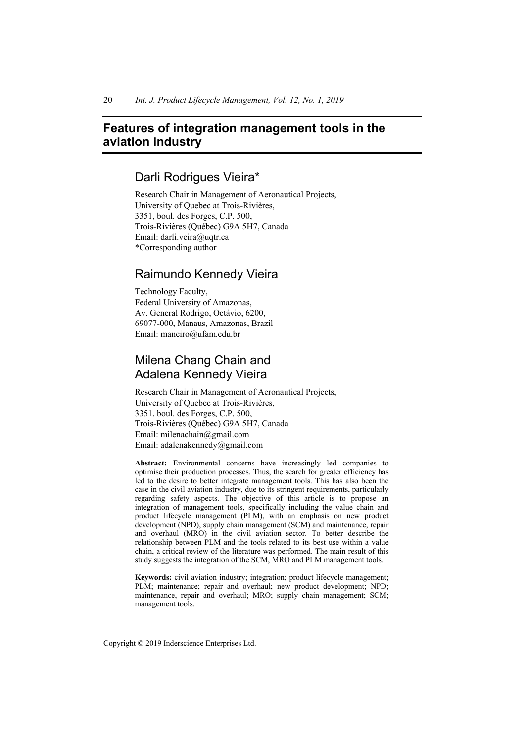# **Features of integration management tools in the aviation industry**

# Darli Rodrigues Vieira\*

Research Chair in Management of Aeronautical Projects, University of Quebec at Trois-Rivières, 3351, boul. des Forges, C.P. 500, Trois-Rivières (Québec) G9A 5H7, Canada Email: darli.veira@uqtr.ca \*Corresponding author

## Raimundo Kennedy Vieira

Technology Faculty, Federal University of Amazonas, Av. General Rodrigo, Octávio, 6200, 69077-000, Manaus, Amazonas, Brazil Email: maneiro@ufam.edu.br

# Milena Chang Chain and Adalena Kennedy Vieira

Research Chair in Management of Aeronautical Projects, University of Quebec at Trois-Rivières, 3351, boul. des Forges, C.P. 500, Trois-Rivières (Québec) G9A 5H7, Canada Email: milenachain@gmail.com Email: adalenakennedy@gmail.com

**Abstract:** Environmental concerns have increasingly led companies to optimise their production processes. Thus, the search for greater efficiency has led to the desire to better integrate management tools. This has also been the case in the civil aviation industry, due to its stringent requirements, particularly regarding safety aspects. The objective of this article is to propose an integration of management tools, specifically including the value chain and product lifecycle management (PLM), with an emphasis on new product development (NPD), supply chain management (SCM) and maintenance, repair and overhaul (MRO) in the civil aviation sector. To better describe the relationship between PLM and the tools related to its best use within a value chain, a critical review of the literature was performed. The main result of this study suggests the integration of the SCM, MRO and PLM management tools.

**Keywords:** civil aviation industry; integration; product lifecycle management; PLM; maintenance; repair and overhaul; new product development; NPD; maintenance, repair and overhaul; MRO; supply chain management; SCM; management tools.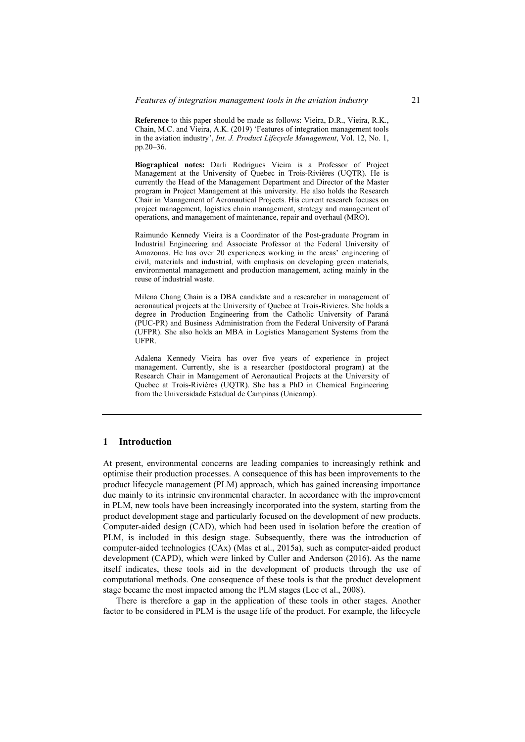**Reference** to this paper should be made as follows: Vieira, D.R., Vieira, R.K., Chain, M.C. and Vieira, A.K. (2019) 'Features of integration management tools in the aviation industry', *Int. J. Product Lifecycle Management*, Vol. 12, No. 1, pp.20–36.

**Biographical notes:** Darli Rodrigues Vieira is a Professor of Project Management at the University of Quebec in Trois-Rivières (UQTR). He is currently the Head of the Management Department and Director of the Master program in Project Management at this university. He also holds the Research Chair in Management of Aeronautical Projects. His current research focuses on project management, logistics chain management, strategy and management of operations, and management of maintenance, repair and overhaul (MRO).

Raimundo Kennedy Vieira is a Coordinator of the Post-graduate Program in Industrial Engineering and Associate Professor at the Federal University of Amazonas. He has over 20 experiences working in the areas' engineering of civil, materials and industrial, with emphasis on developing green materials, environmental management and production management, acting mainly in the reuse of industrial waste.

Milena Chang Chain is a DBA candidate and a researcher in management of aeronautical projects at the University of Quebec at Trois-Rivieres. She holds a degree in Production Engineering from the Catholic University of Paraná (PUC-PR) and Business Administration from the Federal University of Paraná (UFPR). She also holds an MBA in Logistics Management Systems from the UFPR.

Adalena Kennedy Vieira has over five years of experience in project management. Currently, she is a researcher (postdoctoral program) at the Research Chair in Management of Aeronautical Projects at the University of Quebec at Trois-Rivières (UQTR). She has a PhD in Chemical Engineering from the Universidade Estadual de Campinas (Unicamp).

#### **1 Introduction**

At present, environmental concerns are leading companies to increasingly rethink and optimise their production processes. A consequence of this has been improvements to the product lifecycle management (PLM) approach, which has gained increasing importance due mainly to its intrinsic environmental character. In accordance with the improvement in PLM, new tools have been increasingly incorporated into the system, starting from the product development stage and particularly focused on the development of new products. Computer-aided design (CAD), which had been used in isolation before the creation of PLM, is included in this design stage. Subsequently, there was the introduction of computer-aided technologies (CAx) (Mas et al., 2015a), such as computer-aided product development (CAPD), which were linked by Culler and Anderson (2016). As the name itself indicates, these tools aid in the development of products through the use of computational methods. One consequence of these tools is that the product development stage became the most impacted among the PLM stages (Lee et al., 2008).

There is therefore a gap in the application of these tools in other stages. Another factor to be considered in PLM is the usage life of the product. For example, the lifecycle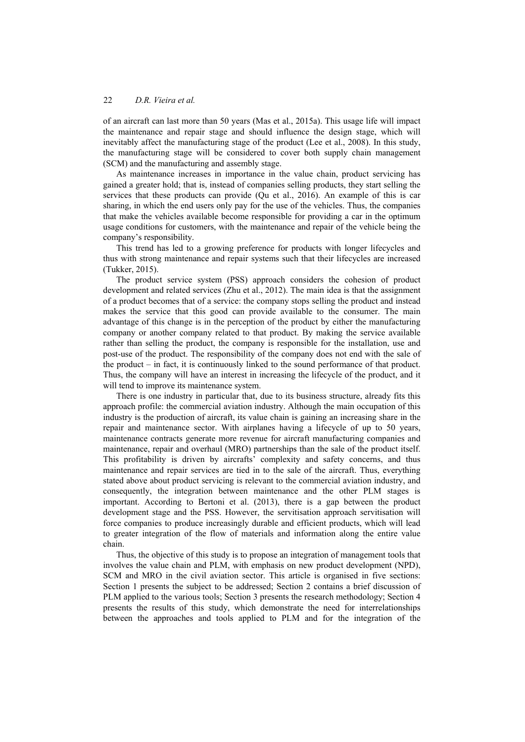of an aircraft can last more than 50 years (Mas et al., 2015a). This usage life will impact the maintenance and repair stage and should influence the design stage, which will inevitably affect the manufacturing stage of the product (Lee et al., 2008). In this study, the manufacturing stage will be considered to cover both supply chain management (SCM) and the manufacturing and assembly stage.

As maintenance increases in importance in the value chain, product servicing has gained a greater hold; that is, instead of companies selling products, they start selling the services that these products can provide (Qu et al., 2016). An example of this is car sharing, in which the end users only pay for the use of the vehicles. Thus, the companies that make the vehicles available become responsible for providing a car in the optimum usage conditions for customers, with the maintenance and repair of the vehicle being the company's responsibility.

This trend has led to a growing preference for products with longer lifecycles and thus with strong maintenance and repair systems such that their lifecycles are increased (Tukker, 2015).

The product service system (PSS) approach considers the cohesion of product development and related services (Zhu et al., 2012). The main idea is that the assignment of a product becomes that of a service: the company stops selling the product and instead makes the service that this good can provide available to the consumer. The main advantage of this change is in the perception of the product by either the manufacturing company or another company related to that product. By making the service available rather than selling the product, the company is responsible for the installation, use and post-use of the product. The responsibility of the company does not end with the sale of the product – in fact, it is continuously linked to the sound performance of that product. Thus, the company will have an interest in increasing the lifecycle of the product, and it will tend to improve its maintenance system.

There is one industry in particular that, due to its business structure, already fits this approach profile: the commercial aviation industry. Although the main occupation of this industry is the production of aircraft, its value chain is gaining an increasing share in the repair and maintenance sector. With airplanes having a lifecycle of up to 50 years, maintenance contracts generate more revenue for aircraft manufacturing companies and maintenance, repair and overhaul (MRO) partnerships than the sale of the product itself. This profitability is driven by aircrafts' complexity and safety concerns, and thus maintenance and repair services are tied in to the sale of the aircraft. Thus, everything stated above about product servicing is relevant to the commercial aviation industry, and consequently, the integration between maintenance and the other PLM stages is important. According to Bertoni et al. (2013), there is a gap between the product development stage and the PSS. However, the servitisation approach servitisation will force companies to produce increasingly durable and efficient products, which will lead to greater integration of the flow of materials and information along the entire value chain.

Thus, the objective of this study is to propose an integration of management tools that involves the value chain and PLM, with emphasis on new product development (NPD), SCM and MRO in the civil aviation sector. This article is organised in five sections: Section 1 presents the subject to be addressed; Section 2 contains a brief discussion of PLM applied to the various tools; Section 3 presents the research methodology; Section 4 presents the results of this study, which demonstrate the need for interrelationships between the approaches and tools applied to PLM and for the integration of the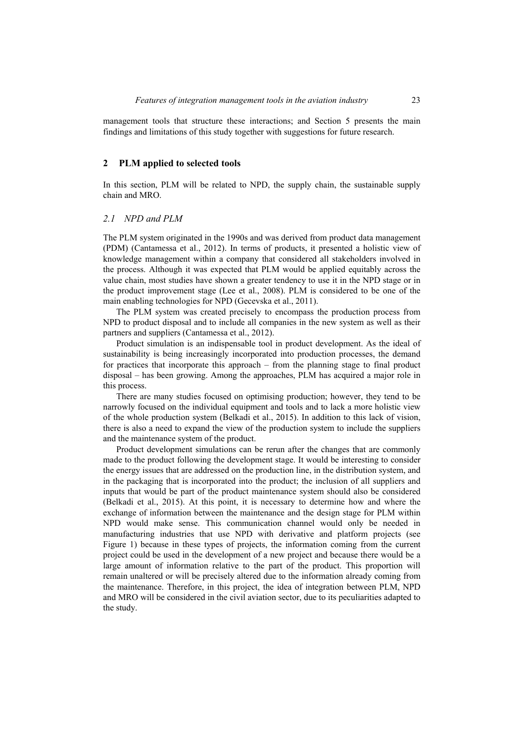management tools that structure these interactions; and Section 5 presents the main findings and limitations of this study together with suggestions for future research.

#### **2 PLM applied to selected tools**

In this section, PLM will be related to NPD, the supply chain, the sustainable supply chain and MRO.

#### *2.1 NPD and PLM*

The PLM system originated in the 1990s and was derived from product data management (PDM) (Cantamessa et al., 2012). In terms of products, it presented a holistic view of knowledge management within a company that considered all stakeholders involved in the process. Although it was expected that PLM would be applied equitably across the value chain, most studies have shown a greater tendency to use it in the NPD stage or in the product improvement stage (Lee et al., 2008). PLM is considered to be one of the main enabling technologies for NPD (Gecevska et al., 2011).

The PLM system was created precisely to encompass the production process from NPD to product disposal and to include all companies in the new system as well as their partners and suppliers (Cantamessa et al., 2012).

Product simulation is an indispensable tool in product development. As the ideal of sustainability is being increasingly incorporated into production processes, the demand for practices that incorporate this approach – from the planning stage to final product disposal – has been growing. Among the approaches, PLM has acquired a major role in this process.

There are many studies focused on optimising production; however, they tend to be narrowly focused on the individual equipment and tools and to lack a more holistic view of the whole production system (Belkadi et al., 2015). In addition to this lack of vision, there is also a need to expand the view of the production system to include the suppliers and the maintenance system of the product.

Product development simulations can be rerun after the changes that are commonly made to the product following the development stage. It would be interesting to consider the energy issues that are addressed on the production line, in the distribution system, and in the packaging that is incorporated into the product; the inclusion of all suppliers and inputs that would be part of the product maintenance system should also be considered (Belkadi et al., 2015). At this point, it is necessary to determine how and where the exchange of information between the maintenance and the design stage for PLM within NPD would make sense. This communication channel would only be needed in manufacturing industries that use NPD with derivative and platform projects (see Figure 1) because in these types of projects, the information coming from the current project could be used in the development of a new project and because there would be a large amount of information relative to the part of the product. This proportion will remain unaltered or will be precisely altered due to the information already coming from the maintenance. Therefore, in this project, the idea of integration between PLM, NPD and MRO will be considered in the civil aviation sector, due to its peculiarities adapted to the study.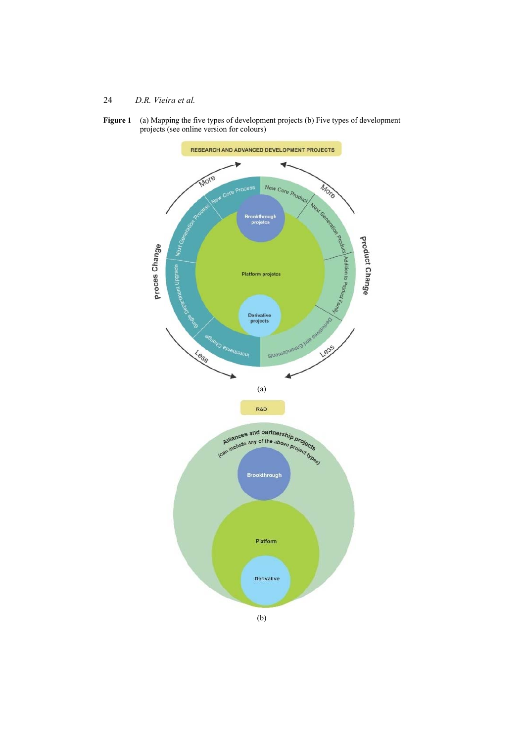**Figure 1** (a) Mapping the five types of development projects (b) Five types of development projects (see online version for colours)

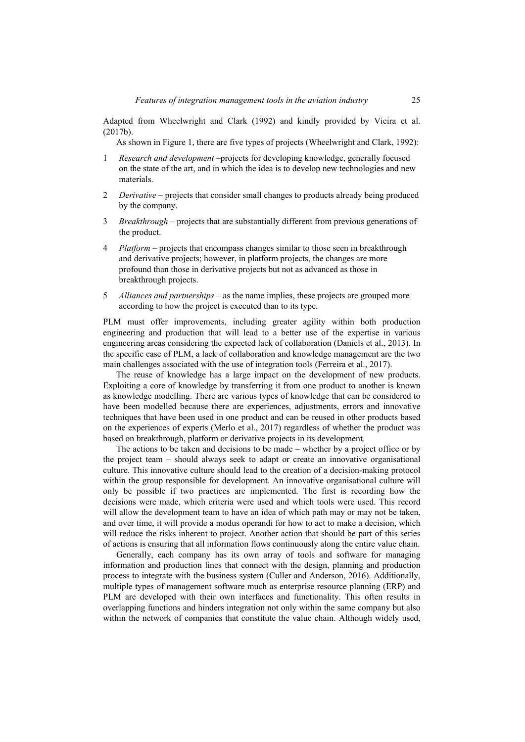Adapted from Wheelwright and Clark (1992) and kindly provided by Vieira et al. (2017b).

As shown in Figure 1, there are five types of projects (Wheelwright and Clark, 1992):

- 1 *Research and development* –projects for developing knowledge, generally focused on the state of the art, and in which the idea is to develop new technologies and new materials.
- 2 *Derivative* projects that consider small changes to products already being produced by the company.
- 3 *Breakthrough* projects that are substantially different from previous generations of the product.
- 4 *Platform* projects that encompass changes similar to those seen in breakthrough and derivative projects; however, in platform projects, the changes are more profound than those in derivative projects but not as advanced as those in breakthrough projects.
- 5 *Alliances and partnerships* as the name implies, these projects are grouped more according to how the project is executed than to its type.

PLM must offer improvements, including greater agility within both production engineering and production that will lead to a better use of the expertise in various engineering areas considering the expected lack of collaboration (Daniels et al., 2013). In the specific case of PLM, a lack of collaboration and knowledge management are the two main challenges associated with the use of integration tools (Ferreira et al., 2017).

The reuse of knowledge has a large impact on the development of new products. Exploiting a core of knowledge by transferring it from one product to another is known as knowledge modelling. There are various types of knowledge that can be considered to have been modelled because there are experiences, adjustments, errors and innovative techniques that have been used in one product and can be reused in other products based on the experiences of experts (Merlo et al., 2017) regardless of whether the product was based on breakthrough, platform or derivative projects in its development.

The actions to be taken and decisions to be made – whether by a project office or by the project team – should always seek to adapt or create an innovative organisational culture. This innovative culture should lead to the creation of a decision-making protocol within the group responsible for development. An innovative organisational culture will only be possible if two practices are implemented. The first is recording how the decisions were made, which criteria were used and which tools were used. This record will allow the development team to have an idea of which path may or may not be taken, and over time, it will provide a modus operandi for how to act to make a decision, which will reduce the risks inherent to project. Another action that should be part of this series of actions is ensuring that all information flows continuously along the entire value chain.

Generally, each company has its own array of tools and software for managing information and production lines that connect with the design, planning and production process to integrate with the business system (Culler and Anderson, 2016). Additionally, multiple types of management software much as enterprise resource planning (ERP) and PLM are developed with their own interfaces and functionality. This often results in overlapping functions and hinders integration not only within the same company but also within the network of companies that constitute the value chain. Although widely used,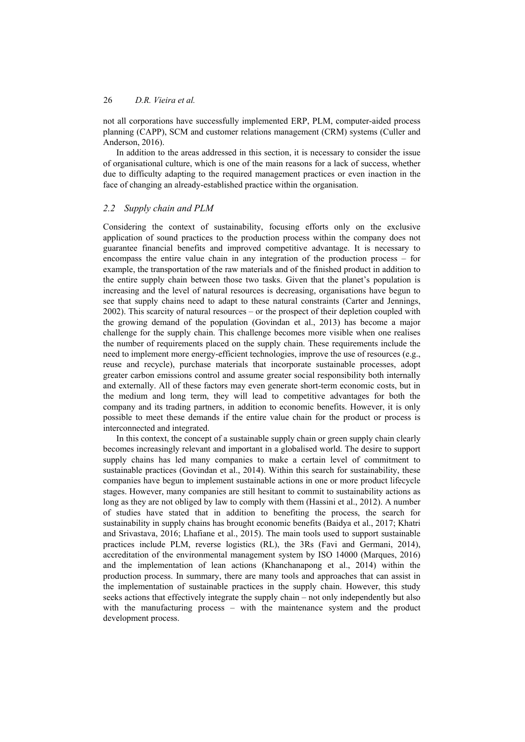not all corporations have successfully implemented ERP, PLM, computer-aided process planning (CAPP), SCM and customer relations management (CRM) systems (Culler and Anderson, 2016).

In addition to the areas addressed in this section, it is necessary to consider the issue of organisational culture, which is one of the main reasons for a lack of success, whether due to difficulty adapting to the required management practices or even inaction in the face of changing an already-established practice within the organisation.

## *2.2 Supply chain and PLM*

Considering the context of sustainability, focusing efforts only on the exclusive application of sound practices to the production process within the company does not guarantee financial benefits and improved competitive advantage. It is necessary to encompass the entire value chain in any integration of the production process – for example, the transportation of the raw materials and of the finished product in addition to the entire supply chain between those two tasks. Given that the planet's population is increasing and the level of natural resources is decreasing, organisations have begun to see that supply chains need to adapt to these natural constraints (Carter and Jennings, 2002). This scarcity of natural resources – or the prospect of their depletion coupled with the growing demand of the population (Govindan et al., 2013) has become a major challenge for the supply chain. This challenge becomes more visible when one realises the number of requirements placed on the supply chain. These requirements include the need to implement more energy-efficient technologies, improve the use of resources (e.g., reuse and recycle), purchase materials that incorporate sustainable processes, adopt greater carbon emissions control and assume greater social responsibility both internally and externally. All of these factors may even generate short-term economic costs, but in the medium and long term, they will lead to competitive advantages for both the company and its trading partners, in addition to economic benefits. However, it is only possible to meet these demands if the entire value chain for the product or process is interconnected and integrated.

In this context, the concept of a sustainable supply chain or green supply chain clearly becomes increasingly relevant and important in a globalised world. The desire to support supply chains has led many companies to make a certain level of commitment to sustainable practices (Govindan et al., 2014). Within this search for sustainability, these companies have begun to implement sustainable actions in one or more product lifecycle stages. However, many companies are still hesitant to commit to sustainability actions as long as they are not obliged by law to comply with them (Hassini et al., 2012). A number of studies have stated that in addition to benefiting the process, the search for sustainability in supply chains has brought economic benefits (Baidya et al., 2017; Khatri and Srivastava, 2016; Lhafiane et al., 2015). The main tools used to support sustainable practices include PLM, reverse logistics (RL), the 3Rs (Favi and Germani, 2014), accreditation of the environmental management system by ISO 14000 (Marques, 2016) and the implementation of lean actions (Khanchanapong et al., 2014) within the production process. In summary, there are many tools and approaches that can assist in the implementation of sustainable practices in the supply chain. However, this study seeks actions that effectively integrate the supply chain – not only independently but also with the manufacturing process – with the maintenance system and the product development process.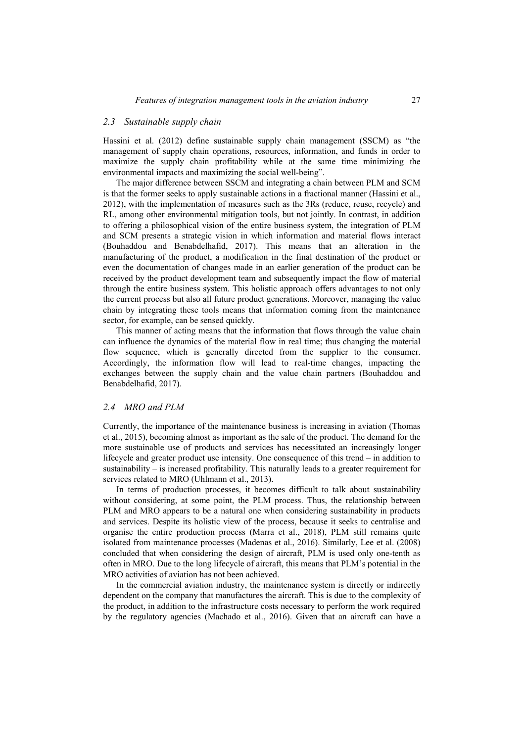#### *2.3 Sustainable supply chain*

Hassini et al. (2012) define sustainable supply chain management (SSCM) as "the management of supply chain operations, resources, information, and funds in order to maximize the supply chain profitability while at the same time minimizing the environmental impacts and maximizing the social well-being".

The major difference between SSCM and integrating a chain between PLM and SCM is that the former seeks to apply sustainable actions in a fractional manner (Hassini et al., 2012), with the implementation of measures such as the 3Rs (reduce, reuse, recycle) and RL, among other environmental mitigation tools, but not jointly. In contrast, in addition to offering a philosophical vision of the entire business system, the integration of PLM and SCM presents a strategic vision in which information and material flows interact (Bouhaddou and Benabdelhafid, 2017). This means that an alteration in the manufacturing of the product, a modification in the final destination of the product or even the documentation of changes made in an earlier generation of the product can be received by the product development team and subsequently impact the flow of material through the entire business system. This holistic approach offers advantages to not only the current process but also all future product generations. Moreover, managing the value chain by integrating these tools means that information coming from the maintenance sector, for example, can be sensed quickly.

This manner of acting means that the information that flows through the value chain can influence the dynamics of the material flow in real time; thus changing the material flow sequence, which is generally directed from the supplier to the consumer. Accordingly, the information flow will lead to real-time changes, impacting the exchanges between the supply chain and the value chain partners (Bouhaddou and Benabdelhafid, 2017).

#### *2.4 MRO and PLM*

Currently, the importance of the maintenance business is increasing in aviation (Thomas et al., 2015), becoming almost as important as the sale of the product. The demand for the more sustainable use of products and services has necessitated an increasingly longer lifecycle and greater product use intensity. One consequence of this trend – in addition to sustainability – is increased profitability. This naturally leads to a greater requirement for services related to MRO (Uhlmann et al., 2013).

In terms of production processes, it becomes difficult to talk about sustainability without considering, at some point, the PLM process. Thus, the relationship between PLM and MRO appears to be a natural one when considering sustainability in products and services. Despite its holistic view of the process, because it seeks to centralise and organise the entire production process (Marra et al., 2018), PLM still remains quite isolated from maintenance processes (Madenas et al., 2016). Similarly, Lee et al. (2008) concluded that when considering the design of aircraft, PLM is used only one-tenth as often in MRO. Due to the long lifecycle of aircraft, this means that PLM's potential in the MRO activities of aviation has not been achieved.

In the commercial aviation industry, the maintenance system is directly or indirectly dependent on the company that manufactures the aircraft. This is due to the complexity of the product, in addition to the infrastructure costs necessary to perform the work required by the regulatory agencies (Machado et al., 2016). Given that an aircraft can have a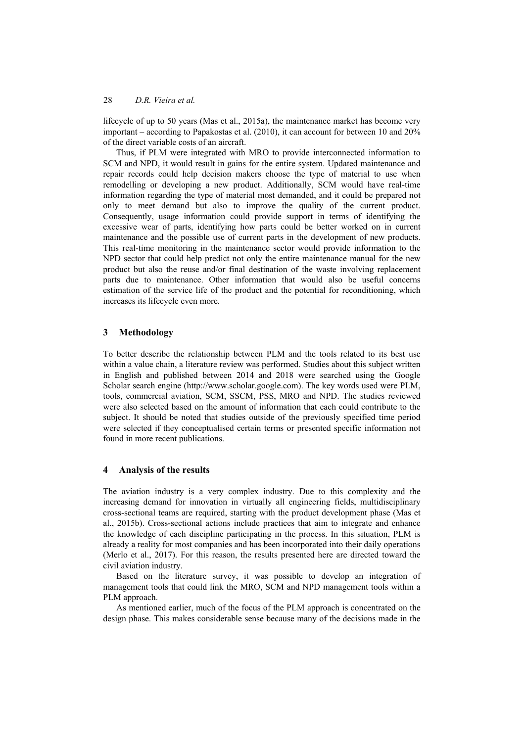lifecycle of up to 50 years (Mas et al., 2015a), the maintenance market has become very important – according to Papakostas et al. (2010), it can account for between 10 and 20% of the direct variable costs of an aircraft.

Thus, if PLM were integrated with MRO to provide interconnected information to SCM and NPD, it would result in gains for the entire system. Updated maintenance and repair records could help decision makers choose the type of material to use when remodelling or developing a new product. Additionally, SCM would have real-time information regarding the type of material most demanded, and it could be prepared not only to meet demand but also to improve the quality of the current product. Consequently, usage information could provide support in terms of identifying the excessive wear of parts, identifying how parts could be better worked on in current maintenance and the possible use of current parts in the development of new products. This real-time monitoring in the maintenance sector would provide information to the NPD sector that could help predict not only the entire maintenance manual for the new product but also the reuse and/or final destination of the waste involving replacement parts due to maintenance. Other information that would also be useful concerns estimation of the service life of the product and the potential for reconditioning, which increases its lifecycle even more.

## **3 Methodology**

To better describe the relationship between PLM and the tools related to its best use within a value chain, a literature review was performed. Studies about this subject written in English and published between 2014 and 2018 were searched using the Google Scholar search engine (http://www.scholar.google.com). The key words used were PLM, tools, commercial aviation, SCM, SSCM, PSS, MRO and NPD. The studies reviewed were also selected based on the amount of information that each could contribute to the subject. It should be noted that studies outside of the previously specified time period were selected if they conceptualised certain terms or presented specific information not found in more recent publications.

## **4 Analysis of the results**

The aviation industry is a very complex industry. Due to this complexity and the increasing demand for innovation in virtually all engineering fields, multidisciplinary cross-sectional teams are required, starting with the product development phase (Mas et al., 2015b). Cross-sectional actions include practices that aim to integrate and enhance the knowledge of each discipline participating in the process. In this situation, PLM is already a reality for most companies and has been incorporated into their daily operations (Merlo et al., 2017). For this reason, the results presented here are directed toward the civil aviation industry.

Based on the literature survey, it was possible to develop an integration of management tools that could link the MRO, SCM and NPD management tools within a PLM approach.

As mentioned earlier, much of the focus of the PLM approach is concentrated on the design phase. This makes considerable sense because many of the decisions made in the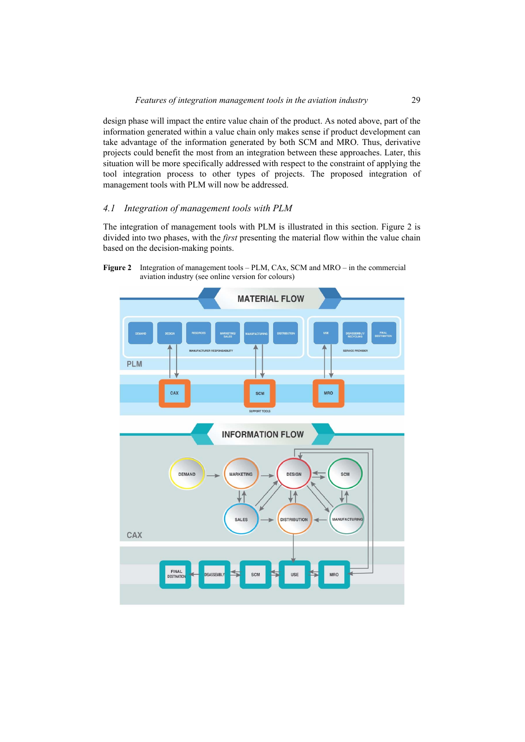design phase will impact the entire value chain of the product. As noted above, part of the information generated within a value chain only makes sense if product development can take advantage of the information generated by both SCM and MRO. Thus, derivative projects could benefit the most from an integration between these approaches. Later, this situation will be more specifically addressed with respect to the constraint of applying the tool integration process to other types of projects. The proposed integration of management tools with PLM will now be addressed.

## *4.1 Integration of management tools with PLM*

The integration of management tools with PLM is illustrated in this section. Figure 2 is divided into two phases, with the *first* presenting the material flow within the value chain based on the decision-making points.



**Figure 2** Integration of management tools – PLM, CAx, SCM and MRO – in the commercial aviation industry (see online version for colours)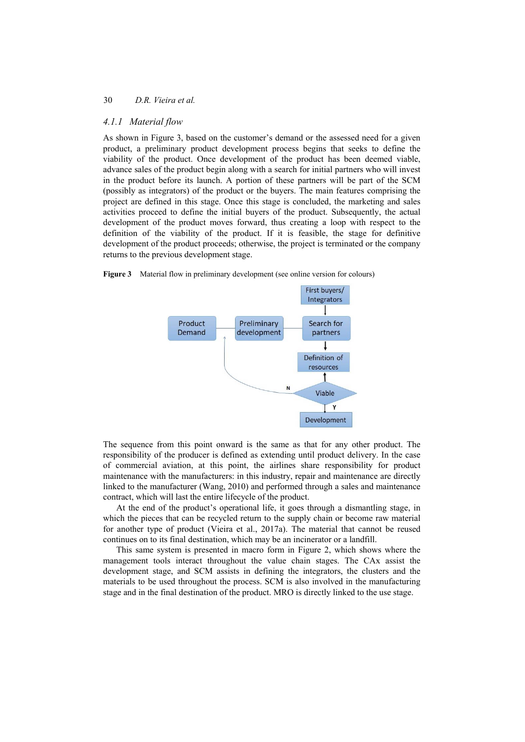## *4.1.1 Material flow*

As shown in Figure 3, based on the customer's demand or the assessed need for a given product, a preliminary product development process begins that seeks to define the viability of the product. Once development of the product has been deemed viable, advance sales of the product begin along with a search for initial partners who will invest in the product before its launch. A portion of these partners will be part of the SCM (possibly as integrators) of the product or the buyers. The main features comprising the project are defined in this stage. Once this stage is concluded, the marketing and sales activities proceed to define the initial buyers of the product. Subsequently, the actual development of the product moves forward, thus creating a loop with respect to the definition of the viability of the product. If it is feasible, the stage for definitive development of the product proceeds; otherwise, the project is terminated or the company returns to the previous development stage.



**Figure 3** Material flow in preliminary development (see online version for colours)

The sequence from this point onward is the same as that for any other product. The responsibility of the producer is defined as extending until product delivery. In the case of commercial aviation, at this point, the airlines share responsibility for product maintenance with the manufacturers: in this industry, repair and maintenance are directly linked to the manufacturer (Wang, 2010) and performed through a sales and maintenance contract, which will last the entire lifecycle of the product.

At the end of the product's operational life, it goes through a dismantling stage, in which the pieces that can be recycled return to the supply chain or become raw material for another type of product (Vieira et al., 2017a). The material that cannot be reused continues on to its final destination, which may be an incinerator or a landfill.

This same system is presented in macro form in Figure 2, which shows where the management tools interact throughout the value chain stages. The CAx assist the development stage, and SCM assists in defining the integrators, the clusters and the materials to be used throughout the process. SCM is also involved in the manufacturing stage and in the final destination of the product. MRO is directly linked to the use stage.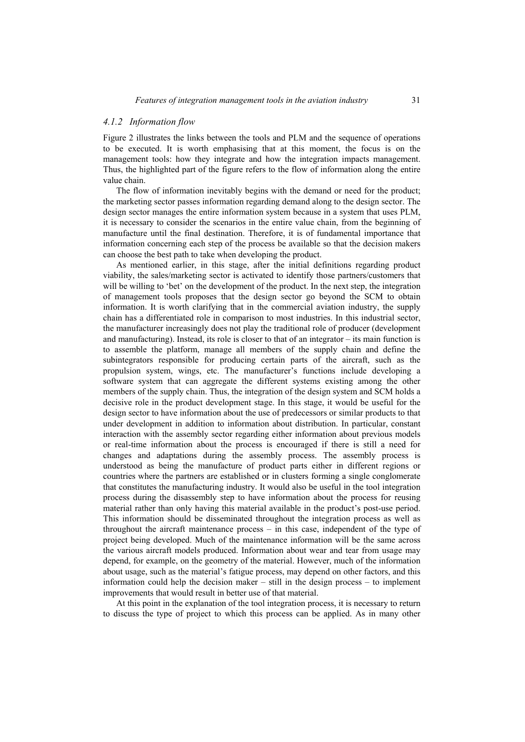#### *4.1.2 Information flow*

Figure 2 illustrates the links between the tools and PLM and the sequence of operations to be executed. It is worth emphasising that at this moment, the focus is on the management tools: how they integrate and how the integration impacts management. Thus, the highlighted part of the figure refers to the flow of information along the entire value chain.

The flow of information inevitably begins with the demand or need for the product; the marketing sector passes information regarding demand along to the design sector. The design sector manages the entire information system because in a system that uses PLM, it is necessary to consider the scenarios in the entire value chain, from the beginning of manufacture until the final destination. Therefore, it is of fundamental importance that information concerning each step of the process be available so that the decision makers can choose the best path to take when developing the product.

As mentioned earlier, in this stage, after the initial definitions regarding product viability, the sales/marketing sector is activated to identify those partners/customers that will be willing to 'bet' on the development of the product. In the next step, the integration of management tools proposes that the design sector go beyond the SCM to obtain information. It is worth clarifying that in the commercial aviation industry, the supply chain has a differentiated role in comparison to most industries. In this industrial sector, the manufacturer increasingly does not play the traditional role of producer (development and manufacturing). Instead, its role is closer to that of an integrator – its main function is to assemble the platform, manage all members of the supply chain and define the subintegrators responsible for producing certain parts of the aircraft, such as the propulsion system, wings, etc. The manufacturer's functions include developing a software system that can aggregate the different systems existing among the other members of the supply chain. Thus, the integration of the design system and SCM holds a decisive role in the product development stage. In this stage, it would be useful for the design sector to have information about the use of predecessors or similar products to that under development in addition to information about distribution. In particular, constant interaction with the assembly sector regarding either information about previous models or real-time information about the process is encouraged if there is still a need for changes and adaptations during the assembly process. The assembly process is understood as being the manufacture of product parts either in different regions or countries where the partners are established or in clusters forming a single conglomerate that constitutes the manufacturing industry. It would also be useful in the tool integration process during the disassembly step to have information about the process for reusing material rather than only having this material available in the product's post-use period. This information should be disseminated throughout the integration process as well as throughout the aircraft maintenance process – in this case, independent of the type of project being developed. Much of the maintenance information will be the same across the various aircraft models produced. Information about wear and tear from usage may depend, for example, on the geometry of the material. However, much of the information about usage, such as the material's fatigue process, may depend on other factors, and this information could help the decision maker – still in the design process – to implement improvements that would result in better use of that material.

At this point in the explanation of the tool integration process, it is necessary to return to discuss the type of project to which this process can be applied. As in many other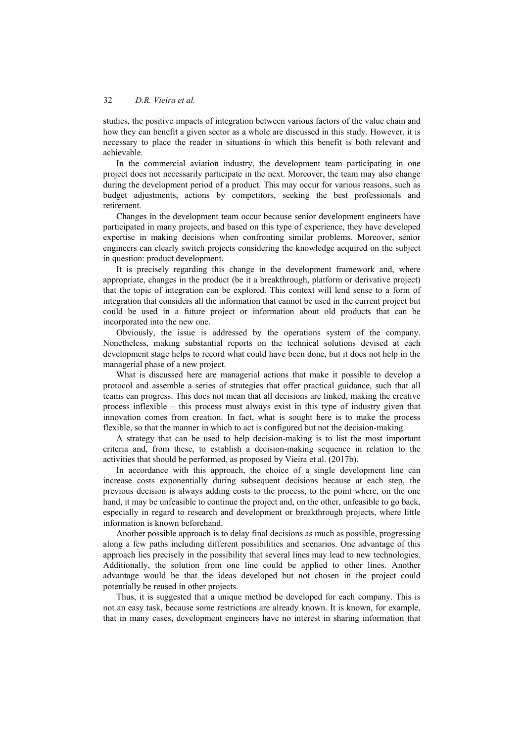studies, the positive impacts of integration between various factors of the value chain and how they can benefit a given sector as a whole are discussed in this study. However, it is necessary to place the reader in situations in which this benefit is both relevant and achievable.

In the commercial aviation industry, the development team participating in one project does not necessarily participate in the next. Moreover, the team may also change during the development period of a product. This may occur for various reasons, such as budget adjustments, actions by competitors, seeking the best professionals and retirement.

Changes in the development team occur because senior development engineers have participated in many projects, and based on this type of experience, they have developed expertise in making decisions when confronting similar problems. Moreover, senior engineers can clearly switch projects considering the knowledge acquired on the subject in question: product development.

It is precisely regarding this change in the development framework and, where appropriate, changes in the product (be it a breakthrough, platform or derivative project) that the topic of integration can be explored. This context will lend sense to a form of integration that considers all the information that cannot be used in the current project but could be used in a future project or information about old products that can be incorporated into the new one.

Obviously, the issue is addressed by the operations system of the company. Nonetheless, making substantial reports on the technical solutions devised at each development stage helps to record what could have been done, but it does not help in the managerial phase of a new project.

What is discussed here are managerial actions that make it possible to develop a protocol and assemble a series of strategies that offer practical guidance, such that all teams can progress. This does not mean that all decisions are linked, making the creative process inflexible – this process must always exist in this type of industry given that innovation comes from creation. In fact, what is sought here is to make the process flexible, so that the manner in which to act is configured but not the decision-making.

A strategy that can be used to help decision-making is to list the most important criteria and, from these, to establish a decision-making sequence in relation to the activities that should be performed, as proposed by Vieira et al. (2017b).

In accordance with this approach, the choice of a single development line can increase costs exponentially during subsequent decisions because at each step, the previous decision is always adding costs to the process, to the point where, on the one hand, it may be unfeasible to continue the project and, on the other, unfeasible to go back, especially in regard to research and development or breakthrough projects, where little information is known beforehand.

Another possible approach is to delay final decisions as much as possible, progressing along a few paths including different possibilities and scenarios. One advantage of this approach lies precisely in the possibility that several lines may lead to new technologies. Additionally, the solution from one line could be applied to other lines. Another advantage would be that the ideas developed but not chosen in the project could potentially be reused in other projects.

Thus, it is suggested that a unique method be developed for each company. This is not an easy task, because some restrictions are already known. It is known, for example, that in many cases, development engineers have no interest in sharing information that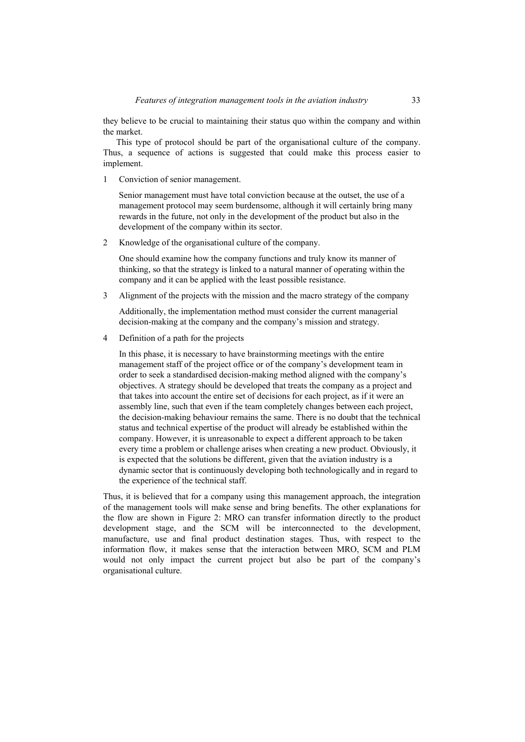they believe to be crucial to maintaining their status quo within the company and within the market.

This type of protocol should be part of the organisational culture of the company. Thus, a sequence of actions is suggested that could make this process easier to implement.

1 Conviction of senior management.

Senior management must have total conviction because at the outset, the use of a management protocol may seem burdensome, although it will certainly bring many rewards in the future, not only in the development of the product but also in the development of the company within its sector.

2 Knowledge of the organisational culture of the company.

One should examine how the company functions and truly know its manner of thinking, so that the strategy is linked to a natural manner of operating within the company and it can be applied with the least possible resistance.

3 Alignment of the projects with the mission and the macro strategy of the company

Additionally, the implementation method must consider the current managerial decision-making at the company and the company's mission and strategy.

4 Definition of a path for the projects

In this phase, it is necessary to have brainstorming meetings with the entire management staff of the project office or of the company's development team in order to seek a standardised decision-making method aligned with the company's objectives. A strategy should be developed that treats the company as a project and that takes into account the entire set of decisions for each project, as if it were an assembly line, such that even if the team completely changes between each project, the decision-making behaviour remains the same. There is no doubt that the technical status and technical expertise of the product will already be established within the company. However, it is unreasonable to expect a different approach to be taken every time a problem or challenge arises when creating a new product. Obviously, it is expected that the solutions be different, given that the aviation industry is a dynamic sector that is continuously developing both technologically and in regard to the experience of the technical staff.

Thus, it is believed that for a company using this management approach, the integration of the management tools will make sense and bring benefits. The other explanations for the flow are shown in Figure 2: MRO can transfer information directly to the product development stage, and the SCM will be interconnected to the development, manufacture, use and final product destination stages. Thus, with respect to the information flow, it makes sense that the interaction between MRO, SCM and PLM would not only impact the current project but also be part of the company's organisational culture.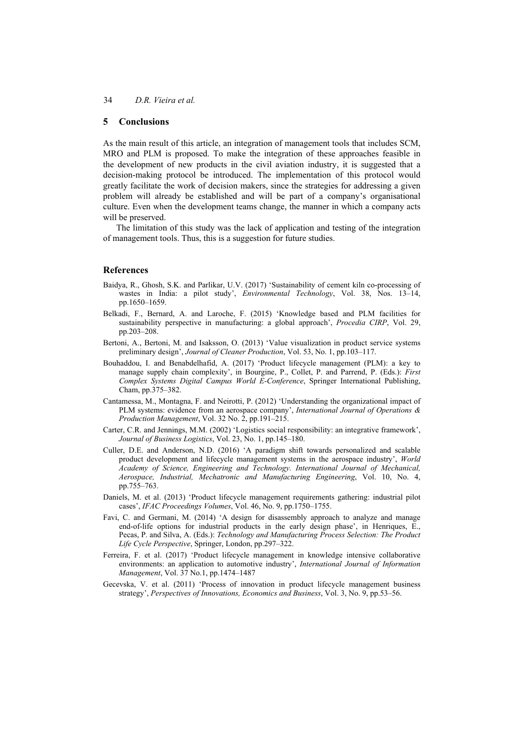### **5 Conclusions**

As the main result of this article, an integration of management tools that includes SCM, MRO and PLM is proposed. To make the integration of these approaches feasible in the development of new products in the civil aviation industry, it is suggested that a decision-making protocol be introduced. The implementation of this protocol would greatly facilitate the work of decision makers, since the strategies for addressing a given problem will already be established and will be part of a company's organisational culture. Even when the development teams change, the manner in which a company acts will be preserved.

The limitation of this study was the lack of application and testing of the integration of management tools. Thus, this is a suggestion for future studies.

## **References**

- Baidya, R., Ghosh, S.K. and Parlikar, U.V. (2017) 'Sustainability of cement kiln co-processing of wastes in India: a pilot study', *Environmental Technology*, Vol. 38, Nos. 13–14, pp.1650–1659.
- Belkadi, F., Bernard, A. and Laroche, F. (2015) 'Knowledge based and PLM facilities for sustainability perspective in manufacturing: a global approach', *Procedia CIRP*, Vol. 29, pp.203–208.
- Bertoni, A., Bertoni, M. and Isaksson, O. (2013) 'Value visualization in product service systems preliminary design', *Journal of Cleaner Production*, Vol. 53, No. 1, pp.103–117.
- Bouhaddou, I. and Benabdelhafid, A. (2017) 'Product lifecycle management (PLM): a key to manage supply chain complexity', in Bourgine, P., Collet, P. and Parrend, P. (Eds.): *First Complex Systems Digital Campus World E-Conference*, Springer International Publishing, Cham, pp.375–382.
- Cantamessa, M., Montagna, F. and Neirotti, P. (2012) 'Understanding the organizational impact of PLM systems: evidence from an aerospace company', *International Journal of Operations & Production Management*, Vol. 32 No. 2, pp.191–215.
- Carter, C.R. and Jennings, M.M. (2002) 'Logistics social responsibility: an integrative framework', *Journal of Business Logistics*, Vol. 23, No. 1, pp.145–180.
- Culler, D.E. and Anderson, N.D. (2016) 'A paradigm shift towards personalized and scalable product development and lifecycle management systems in the aerospace industry', *World Academy of Science, Engineering and Technology. International Journal of Mechanical, Aerospace, Industrial, Mechatronic and Manufacturing Engineering*, Vol. 10, No. 4, pp.755–763.
- Daniels, M. et al. (2013) 'Product lifecycle management requirements gathering: industrial pilot cases', *IFAC Proceedings Volumes*, Vol. 46, No. 9, pp.1750–1755.
- Favi, C. and Germani, M. (2014) 'A design for disassembly approach to analyze and manage end-of-life options for industrial products in the early design phase', in Henriques, E., Pecas, P. and Silva, A. (Eds.): *Technology and Manufacturing Process Selection: The Product Life Cycle Perspective*, Springer, London, pp.297–322.
- Ferreira, F. et al. (2017) 'Product lifecycle management in knowledge intensive collaborative environments: an application to automotive industry', *International Journal of Information Management*, Vol. 37 No.1, pp.1474–1487
- Gecevska, V. et al. (2011) 'Process of innovation in product lifecycle management business strategy', *Perspectives of Innovations, Economics and Business*, Vol. 3, No. 9, pp.53–56.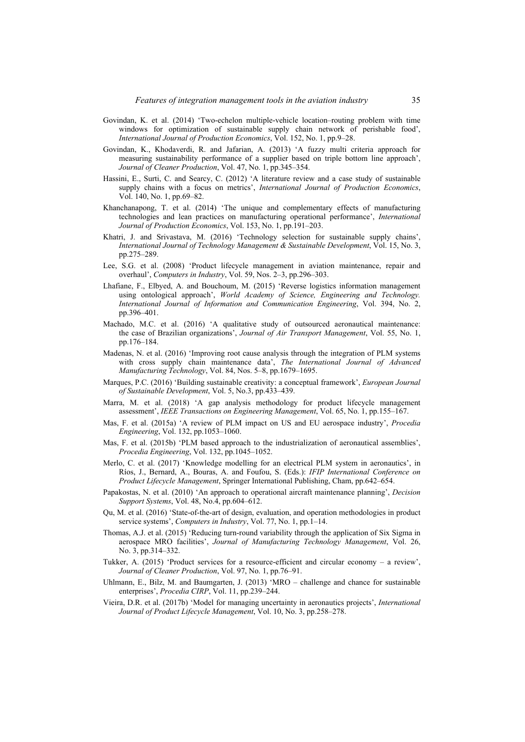- Govindan, K. et al. (2014) 'Two-echelon multiple-vehicle location–routing problem with time windows for optimization of sustainable supply chain network of perishable food', *International Journal of Production Economics*, Vol. 152, No. 1, pp.9–28.
- Govindan, K., Khodaverdi, R. and Jafarian, A. (2013) 'A fuzzy multi criteria approach for measuring sustainability performance of a supplier based on triple bottom line approach', *Journal of Cleaner Production*, Vol. 47, No. 1, pp.345–354.
- Hassini, E., Surti, C. and Searcy, C. (2012) 'A literature review and a case study of sustainable supply chains with a focus on metrics', *International Journal of Production Economics*, Vol. 140, No. 1, pp.69–82.
- Khanchanapong, T. et al. (2014) 'The unique and complementary effects of manufacturing technologies and lean practices on manufacturing operational performance', *International Journal of Production Economics*, Vol. 153, No. 1, pp.191–203.
- Khatri, J. and Srivastava, M. (2016) 'Technology selection for sustainable supply chains', *International Journal of Technology Management & Sustainable Development*, Vol. 15, No. 3, pp.275–289.
- Lee, S.G. et al. (2008) 'Product lifecycle management in aviation maintenance, repair and overhaul', *Computers in Industry*, Vol. 59, Nos. 2–3, pp.296–303.
- Lhafiane, F., Elbyed, A. and Bouchoum, M. (2015) 'Reverse logistics information management using ontological approach', *World Academy of Science, Engineering and Technology. International Journal of Information and Communication Engineering*, Vol. 394, No. 2, pp.396–401.
- Machado, M.C. et al. (2016) 'A qualitative study of outsourced aeronautical maintenance: the case of Brazilian organizations', *Journal of Air Transport Management*, Vol. 55, No. 1, pp.176–184.
- Madenas, N. et al. (2016) 'Improving root cause analysis through the integration of PLM systems with cross supply chain maintenance data', *The International Journal of Advanced Manufacturing Technology*, Vol. 84, Nos. 5–8, pp.1679–1695.
- Marques, P.C. (2016) 'Building sustainable creativity: a conceptual framework', *European Journal of Sustainable Development*, Vol. 5, No.3, pp.433–439.
- Marra, M. et al. (2018) 'A gap analysis methodology for product lifecycle management assessment', *IEEE Transactions on Engineering Management*, Vol. 65, No. 1, pp.155–167.
- Mas, F. et al. (2015a) 'A review of PLM impact on US and EU aerospace industry', *Procedia Engineering*, Vol. 132, pp.1053–1060.
- Mas, F. et al. (2015b) 'PLM based approach to the industrialization of aeronautical assemblies', *Procedia Engineering*, Vol. 132, pp.1045–1052.
- Merlo, C. et al. (2017) 'Knowledge modelling for an electrical PLM system in aeronautics', in Ríos, J., Bernard, A., Bouras, A. and Foufou, S. (Eds.): *IFIP International Conference on Product Lifecycle Management*, Springer International Publishing, Cham, pp.642–654.
- Papakostas, N. et al. (2010) 'An approach to operational aircraft maintenance planning', *Decision Support Systems*, Vol. 48, No.4, pp.604–612.
- Qu, M. et al. (2016) 'State-of-the-art of design, evaluation, and operation methodologies in product service systems', *Computers in Industry*, Vol. 77, No. 1, pp.1–14.
- Thomas, A.J. et al. (2015) 'Reducing turn-round variability through the application of Six Sigma in aerospace MRO facilities', *Journal of Manufacturing Technology Management*, Vol. 26, No. 3, pp.314–332.
- Tukker, A. (2015) 'Product services for a resource-efficient and circular economy a review', *Journal of Cleaner Production*, Vol. 97, No. 1, pp.76–91.
- Uhlmann, E., Bilz, M. and Baumgarten, J. (2013) 'MRO challenge and chance for sustainable enterprises', *Procedia CIRP*, Vol. 11, pp.239–244.
- Vieira, D.R. et al. (2017b) 'Model for managing uncertainty in aeronautics projects', *International Journal of Product Lifecycle Management*, Vol. 10, No. 3, pp.258–278.